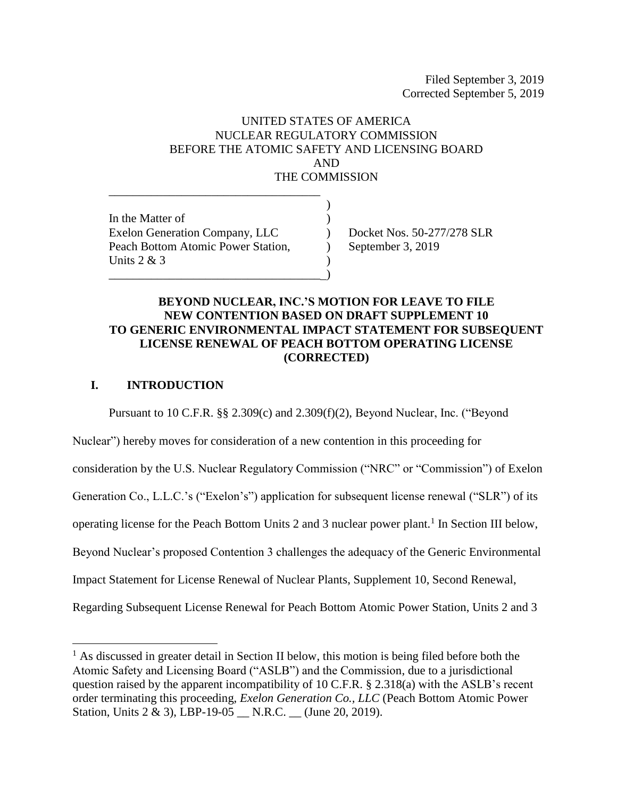Filed September 3, 2019 Corrected September 5, 2019

### UNITED STATES OF AMERICA NUCLEAR REGULATORY COMMISSION BEFORE THE ATOMIC SAFETY AND LICENSING BOARD AND THE COMMISSION

)

In the Matter of  $\qquad \qquad$  ) Exelon Generation Company, LLC <br>
Docket Nos. 50-277/278 SLR Peach Bottom Atomic Power Station, September 3, 2019 Units  $2 & 3$ 

\_\_\_\_\_\_\_\_\_\_\_\_\_\_\_\_\_\_\_\_\_\_\_\_\_\_\_\_\_\_\_\_\_\_\_

\_\_\_\_\_\_\_\_\_\_\_\_\_\_\_\_\_\_\_\_\_\_\_\_\_\_\_\_\_\_\_\_\_\_\_ )

# **BEYOND NUCLEAR, INC.'S MOTION FOR LEAVE TO FILE NEW CONTENTION BASED ON DRAFT SUPPLEMENT 10 TO GENERIC ENVIRONMENTAL IMPACT STATEMENT FOR SUBSEQUENT LICENSE RENEWAL OF PEACH BOTTOM OPERATING LICENSE (CORRECTED)**

#### **I. INTRODUCTION**

 $\overline{a}$ 

Pursuant to 10 C.F.R. §§ 2.309(c) and 2.309(f)(2), Beyond Nuclear, Inc. ("Beyond Nuclear") hereby moves for consideration of a new contention in this proceeding for consideration by the U.S. Nuclear Regulatory Commission ("NRC" or "Commission") of Exelon Generation Co., L.L.C.'s ("Exelon's") application for subsequent license renewal ("SLR") of its operating license for the Peach Bottom Units 2 and 3 nuclear power plant.<sup>1</sup> In Section III below, Beyond Nuclear's proposed Contention 3 challenges the adequacy of the Generic Environmental Impact Statement for License Renewal of Nuclear Plants, Supplement 10, Second Renewal, Regarding Subsequent License Renewal for Peach Bottom Atomic Power Station, Units 2 and 3

 $<sup>1</sup>$  As discussed in greater detail in Section II below, this motion is being filed before both the</sup> Atomic Safety and Licensing Board ("ASLB") and the Commission, due to a jurisdictional question raised by the apparent incompatibility of 10 C.F.R. § 2.318(a) with the ASLB's recent order terminating this proceeding, *Exelon Generation Co., LLC* (Peach Bottom Atomic Power Station, Units 2 & 3), LBP-19-05 \_\_ N.R.C. \_\_ (June 20, 2019).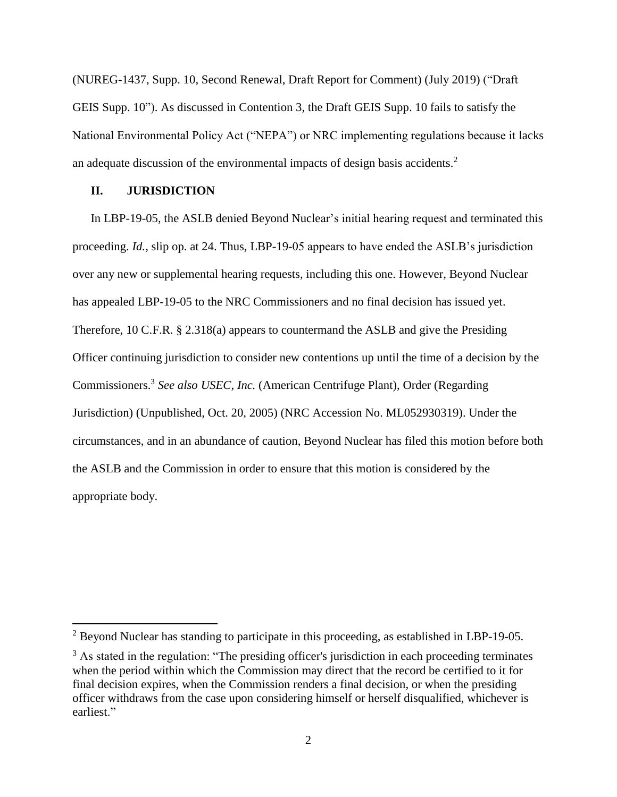(NUREG-1437, Supp. 10, Second Renewal, Draft Report for Comment) (July 2019) ("Draft GEIS Supp. 10"). As discussed in Contention 3, the Draft GEIS Supp. 10 fails to satisfy the National Environmental Policy Act ("NEPA") or NRC implementing regulations because it lacks an adequate discussion of the environmental impacts of design basis accidents.<sup>2</sup>

### **II. JURISDICTION**

 $\overline{a}$ 

In LBP-19-05, the ASLB denied Beyond Nuclear's initial hearing request and terminated this proceeding. *Id.,* slip op. at 24. Thus, LBP-19-05 appears to have ended the ASLB's jurisdiction over any new or supplemental hearing requests, including this one. However, Beyond Nuclear has appealed LBP-19-05 to the NRC Commissioners and no final decision has issued yet. Therefore, 10 C.F.R. § 2.318(a) appears to countermand the ASLB and give the Presiding Officer continuing jurisdiction to consider new contentions up until the time of a decision by the Commissioners. 3 *See also USEC, Inc.* (American Centrifuge Plant), Order (Regarding Jurisdiction) (Unpublished, Oct. 20, 2005) (NRC Accession No. ML052930319). Under the circumstances, and in an abundance of caution, Beyond Nuclear has filed this motion before both the ASLB and the Commission in order to ensure that this motion is considered by the appropriate body.

<sup>&</sup>lt;sup>2</sup> Beyond Nuclear has standing to participate in this proceeding, as established in LBP-19-05.

<sup>&</sup>lt;sup>3</sup> As stated in the regulation: "The presiding officer's jurisdiction in each proceeding terminates when the period within which the Commission may direct that the record be certified to it for final decision expires, when the Commission renders a final decision, or when the presiding officer withdraws from the case upon considering himself or herself disqualified, whichever is earliest."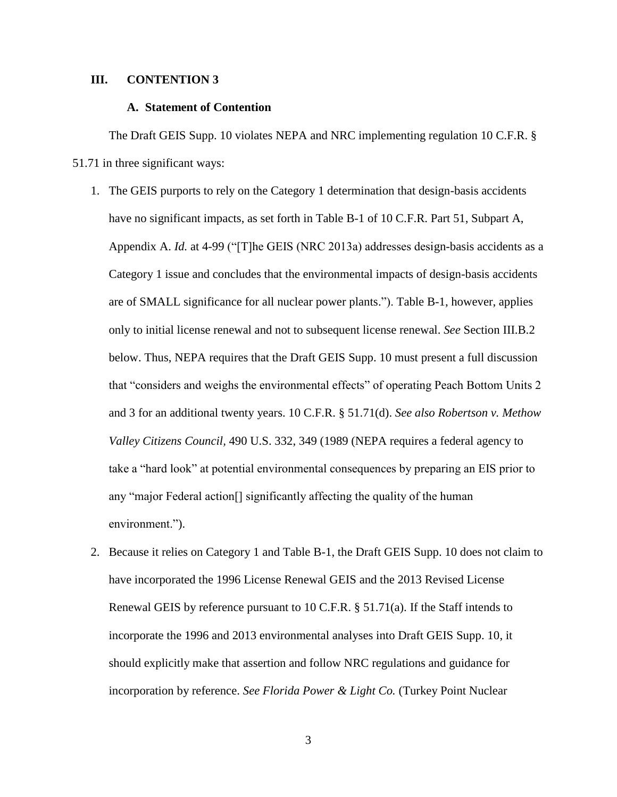#### **III. CONTENTION 3**

#### **A. Statement of Contention**

The Draft GEIS Supp. 10 violates NEPA and NRC implementing regulation 10 C.F.R. § 51.71 in three significant ways:

- 1. The GEIS purports to rely on the Category 1 determination that design-basis accidents have no significant impacts, as set forth in Table B-1 of 10 C.F.R. Part 51, Subpart A, Appendix A. *Id.* at 4-99 ("[T]he GEIS (NRC 2013a) addresses design-basis accidents as a Category 1 issue and concludes that the environmental impacts of design-basis accidents are of SMALL significance for all nuclear power plants."). Table B-1, however, applies only to initial license renewal and not to subsequent license renewal. *See* Section III.B.2 below. Thus, NEPA requires that the Draft GEIS Supp. 10 must present a full discussion that "considers and weighs the environmental effects" of operating Peach Bottom Units 2 and 3 for an additional twenty years. 10 C.F.R. § 51.71(d). *See also Robertson v. Methow Valley Citizens Council,* 490 U.S. 332, 349 (1989 (NEPA requires a federal agency to take a "hard look" at potential environmental consequences by preparing an EIS prior to any "major Federal action[] significantly affecting the quality of the human environment.").
- 2. Because it relies on Category 1 and Table B-1, the Draft GEIS Supp. 10 does not claim to have incorporated the 1996 License Renewal GEIS and the 2013 Revised License Renewal GEIS by reference pursuant to 10 C.F.R.  $\S$  51.71(a). If the Staff intends to incorporate the 1996 and 2013 environmental analyses into Draft GEIS Supp. 10, it should explicitly make that assertion and follow NRC regulations and guidance for incorporation by reference. *See Florida Power & Light Co.* (Turkey Point Nuclear

3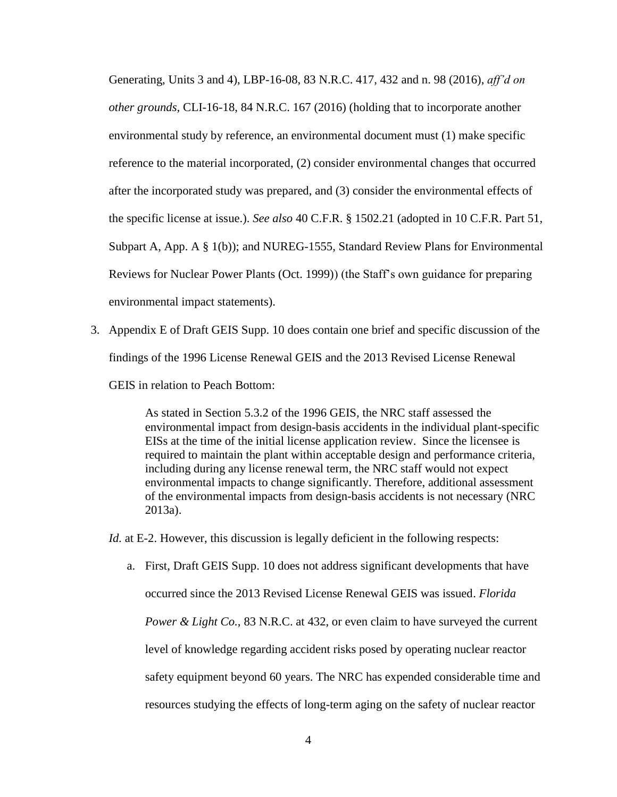Generating, Units 3 and 4), LBP-16-08, 83 N.R.C. 417, 432 and n. 98 (2016), *aff'd on other grounds,* CLI-16-18, 84 N.R.C. 167 (2016) (holding that to incorporate another environmental study by reference, an environmental document must (1) make specific reference to the material incorporated, (2) consider environmental changes that occurred after the incorporated study was prepared, and (3) consider the environmental effects of the specific license at issue.). *See also* 40 C.F.R. § 1502.21 (adopted in 10 C.F.R. Part 51, Subpart A, App. A § 1(b)); and NUREG-1555, Standard Review Plans for Environmental Reviews for Nuclear Power Plants (Oct. 1999)) (the Staff's own guidance for preparing environmental impact statements).

3. Appendix E of Draft GEIS Supp. 10 does contain one brief and specific discussion of the findings of the 1996 License Renewal GEIS and the 2013 Revised License Renewal GEIS in relation to Peach Bottom:

> As stated in Section 5.3.2 of the 1996 GEIS, the NRC staff assessed the environmental impact from design-basis accidents in the individual plant-specific EISs at the time of the initial license application review. Since the licensee is required to maintain the plant within acceptable design and performance criteria, including during any license renewal term, the NRC staff would not expect environmental impacts to change significantly. Therefore, additional assessment of the environmental impacts from design-basis accidents is not necessary (NRC 2013a).

*Id.* at E-2. However, this discussion is legally deficient in the following respects:

a. First, Draft GEIS Supp. 10 does not address significant developments that have occurred since the 2013 Revised License Renewal GEIS was issued. *Florida Power & Light Co.,* 83 N.R.C. at 432, or even claim to have surveyed the current level of knowledge regarding accident risks posed by operating nuclear reactor safety equipment beyond 60 years. The NRC has expended considerable time and resources studying the effects of long-term aging on the safety of nuclear reactor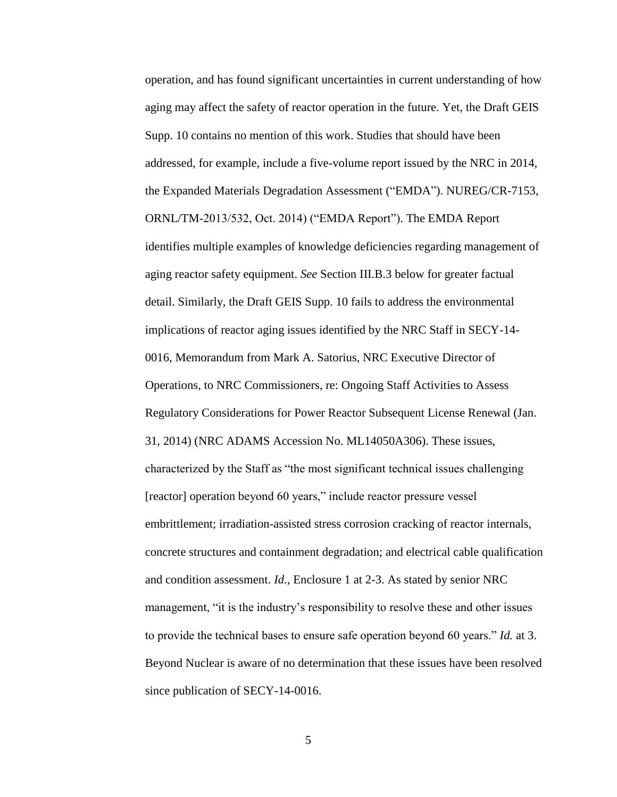operation, and has found significant uncertainties in current understanding of how aging may affect the safety of reactor operation in the future. Yet, the Draft GEIS Supp. 10 contains no mention of this work. Studies that should have been addressed, for example, include a five-volume report issued by the NRC in 2014, the Expanded Materials Degradation Assessment ("EMDA"). NUREG/CR-7153, ORNL/TM-2013/532, Oct. 2014) ("EMDA Report"). The EMDA Report identifies multiple examples of knowledge deficiencies regarding management of aging reactor safety equipment. *See* Section III.B.3 below for greater factual detail. Similarly, the Draft GEIS Supp. 10 fails to address the environmental implications of reactor aging issues identified by the NRC Staff in SECY-14- 0016, Memorandum from Mark A. Satorius, NRC Executive Director of Operations, to NRC Commissioners, re: Ongoing Staff Activities to Assess Regulatory Considerations for Power Reactor Subsequent License Renewal (Jan. 31, 2014) (NRC ADAMS Accession No. ML14050A306). These issues, characterized by the Staff as "the most significant technical issues challenging [reactor] operation beyond 60 years," include reactor pressure vessel embrittlement; irradiation-assisted stress corrosion cracking of reactor internals, concrete structures and containment degradation; and electrical cable qualification and condition assessment. *Id.,* Enclosure 1 at 2-3. As stated by senior NRC management, "it is the industry's responsibility to resolve these and other issues to provide the technical bases to ensure safe operation beyond 60 years." *Id.* at 3. Beyond Nuclear is aware of no determination that these issues have been resolved since publication of SECY-14-0016.

5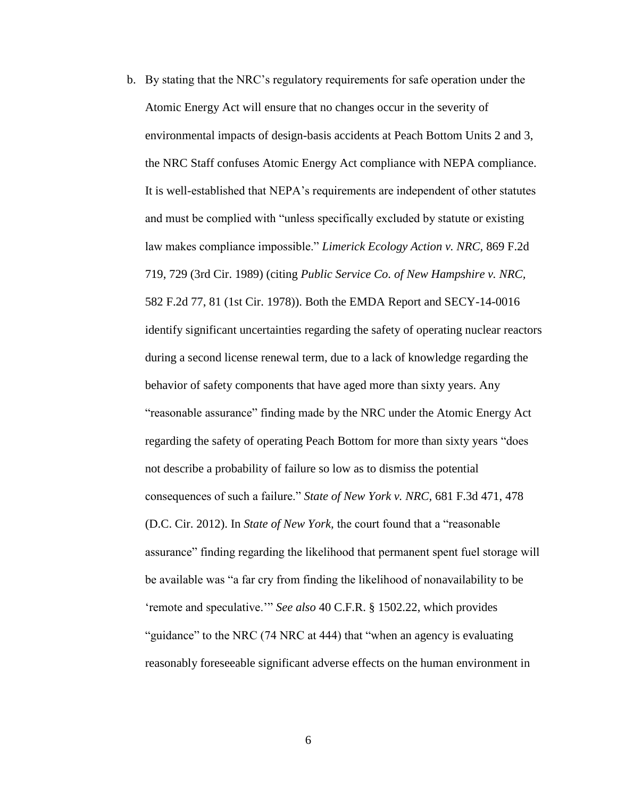b. By stating that the NRC's regulatory requirements for safe operation under the Atomic Energy Act will ensure that no changes occur in the severity of environmental impacts of design-basis accidents at Peach Bottom Units 2 and 3, the NRC Staff confuses Atomic Energy Act compliance with NEPA compliance. It is well-established that NEPA's requirements are independent of other statutes and must be complied with "unless specifically excluded by statute or existing law makes compliance impossible." *Limerick Ecology Action v. NRC,* 869 F.2d 719, 729 (3rd Cir. 1989) (citing *Public Service Co. of New Hampshire v. NRC,*  582 F.2d 77, 81 (1st Cir. 1978)). Both the EMDA Report and SECY-14-0016 identify significant uncertainties regarding the safety of operating nuclear reactors during a second license renewal term, due to a lack of knowledge regarding the behavior of safety components that have aged more than sixty years. Any "reasonable assurance" finding made by the NRC under the Atomic Energy Act regarding the safety of operating Peach Bottom for more than sixty years "does not describe a probability of failure so low as to dismiss the potential consequences of such a failure." *State of New York v. NRC,* 681 F.3d 471, 478 (D.C. Cir. 2012). In *State of New York,* the court found that a "reasonable assurance" finding regarding the likelihood that permanent spent fuel storage will be available was "a far cry from finding the likelihood of nonavailability to be 'remote and speculative.'" *See also* 40 C.F.R. § 1502.22, which provides "guidance" to the NRC (74 NRC at 444) that "when an agency is evaluating reasonably foreseeable significant adverse effects on the human environment in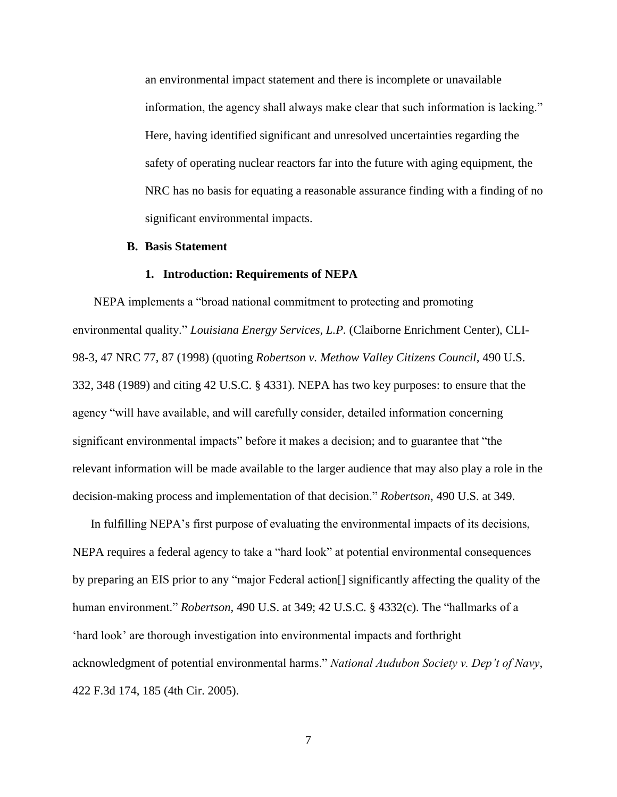an environmental impact statement and there is incomplete or unavailable information, the agency shall always make clear that such information is lacking." Here, having identified significant and unresolved uncertainties regarding the safety of operating nuclear reactors far into the future with aging equipment, the NRC has no basis for equating a reasonable assurance finding with a finding of no significant environmental impacts.

#### **B. Basis Statement**

#### **1. Introduction: Requirements of NEPA**

NEPA implements a "broad national commitment to protecting and promoting environmental quality." *Louisiana Energy Services, L.P.* (Claiborne Enrichment Center), CLI-98-3, 47 NRC 77, 87 (1998) (quoting *Robertson v. Methow Valley Citizens Council,* 490 U.S. 332, 348 (1989) and citing 42 U.S.C. § 4331). NEPA has two key purposes: to ensure that the agency "will have available, and will carefully consider, detailed information concerning significant environmental impacts" before it makes a decision; and to guarantee that "the relevant information will be made available to the larger audience that may also play a role in the decision-making process and implementation of that decision." *Robertson*, 490 U.S. at 349.

In fulfilling NEPA's first purpose of evaluating the environmental impacts of its decisions, NEPA requires a federal agency to take a "hard look" at potential environmental consequences by preparing an EIS prior to any "major Federal action[] significantly affecting the quality of the human environment." *Robertson,* 490 U.S. at 349; 42 U.S.C. § 4332(c). The "hallmarks of a 'hard look' are thorough investigation into environmental impacts and forthright acknowledgment of potential environmental harms." *National Audubon Society v. Dep't of Navy*, 422 F.3d 174, 185 (4th Cir. 2005).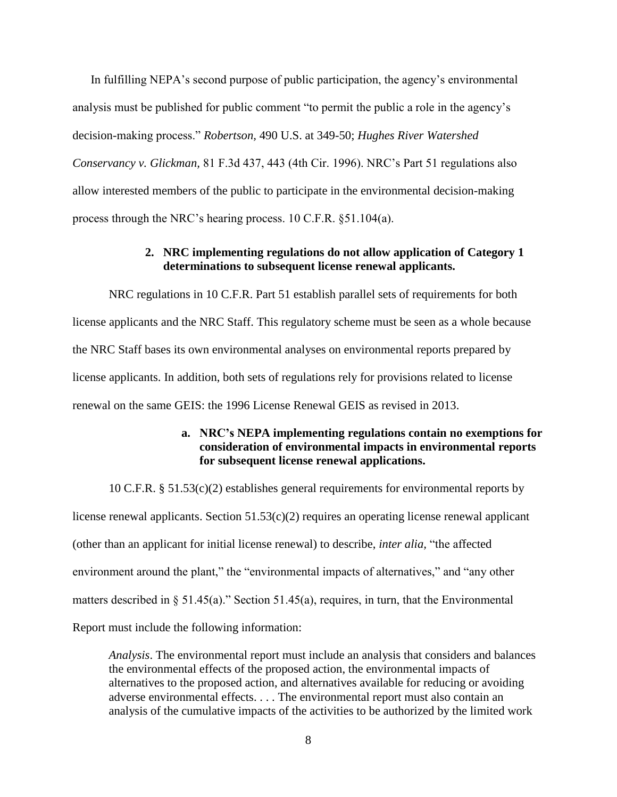In fulfilling NEPA's second purpose of public participation, the agency's environmental analysis must be published for public comment "to permit the public a role in the agency's decision-making process." *Robertson,* 490 U.S. at 349-50; *Hughes River Watershed Conservancy v. Glickman,* 81 F.3d 437, 443 (4th Cir. 1996). NRC's Part 51 regulations also allow interested members of the public to participate in the environmental decision-making process through the NRC's hearing process. 10 C.F.R. §51.104(a).

#### **2. NRC implementing regulations do not allow application of Category 1 determinations to subsequent license renewal applicants.**

NRC regulations in 10 C.F.R. Part 51 establish parallel sets of requirements for both license applicants and the NRC Staff. This regulatory scheme must be seen as a whole because the NRC Staff bases its own environmental analyses on environmental reports prepared by license applicants. In addition, both sets of regulations rely for provisions related to license renewal on the same GEIS: the 1996 License Renewal GEIS as revised in 2013.

### **a. NRC's NEPA implementing regulations contain no exemptions for consideration of environmental impacts in environmental reports for subsequent license renewal applications.**

10 C.F.R. § 51.53(c)(2) establishes general requirements for environmental reports by license renewal applicants. Section 51.53(c)(2) requires an operating license renewal applicant (other than an applicant for initial license renewal) to describe, *inter alia,* "the affected environment around the plant," the "environmental impacts of alternatives," and "any other matters described in  $\S 51.45(a)$ ." Section  $51.45(a)$ , requires, in turn, that the Environmental Report must include the following information:

*Analysis*. The environmental report must include an analysis that considers and balances the environmental effects of the proposed action, the environmental impacts of alternatives to the proposed action, and alternatives available for reducing or avoiding adverse environmental effects. . . . The environmental report must also contain an analysis of the cumulative impacts of the activities to be authorized by the limited work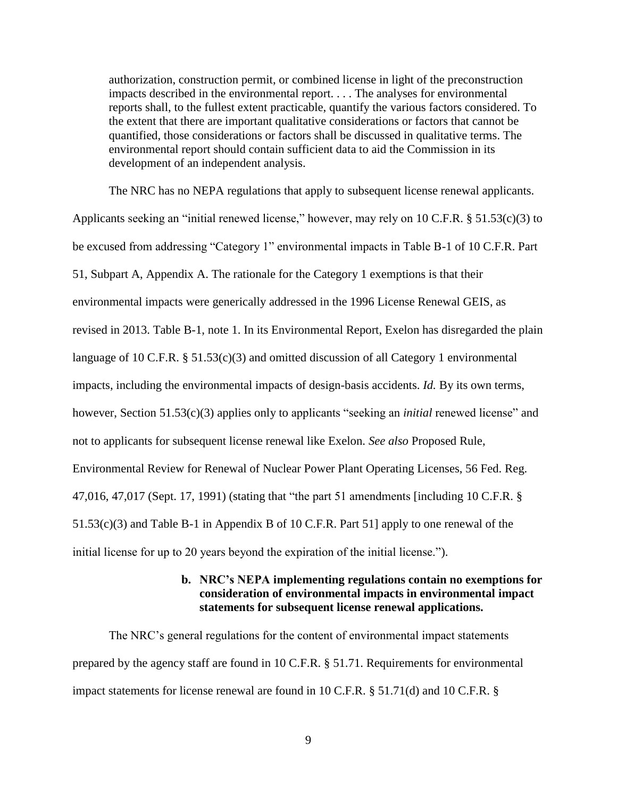authorization, construction permit, or combined license in light of the preconstruction impacts described in the environmental report. . . . The analyses for environmental reports shall, to the fullest extent practicable, quantify the various factors considered. To the extent that there are important qualitative considerations or factors that cannot be quantified, those considerations or factors shall be discussed in qualitative terms. The environmental report should contain sufficient data to aid the Commission in its development of an independent analysis.

The NRC has no NEPA regulations that apply to subsequent license renewal applicants. Applicants seeking an "initial renewed license," however, may rely on 10 C.F.R. § 51.53(c)(3) to be excused from addressing "Category 1" environmental impacts in Table B-1 of 10 C.F.R. Part 51, Subpart A, Appendix A. The rationale for the Category 1 exemptions is that their environmental impacts were generically addressed in the 1996 License Renewal GEIS, as revised in 2013. Table B-1, note 1. In its Environmental Report, Exelon has disregarded the plain language of 10 C.F.R. § 51.53(c)(3) and omitted discussion of all Category 1 environmental impacts, including the environmental impacts of design-basis accidents. *Id.* By its own terms, however, Section 51.53(c)(3) applies only to applicants "seeking an *initial* renewed license" and not to applicants for subsequent license renewal like Exelon. *See also* Proposed Rule, Environmental Review for Renewal of Nuclear Power Plant Operating Licenses, 56 Fed. Reg. 47,016, 47,017 (Sept. 17, 1991) (stating that "the part 51 amendments [including 10 C.F.R. § 51.53(c)(3) and Table B-1 in Appendix B of 10 C.F.R. Part 51] apply to one renewal of the initial license for up to 20 years beyond the expiration of the initial license.").

#### **b. NRC's NEPA implementing regulations contain no exemptions for consideration of environmental impacts in environmental impact statements for subsequent license renewal applications.**

The NRC's general regulations for the content of environmental impact statements prepared by the agency staff are found in 10 C.F.R. § 51.71. Requirements for environmental impact statements for license renewal are found in 10 C.F.R. § 51.71(d) and 10 C.F.R. §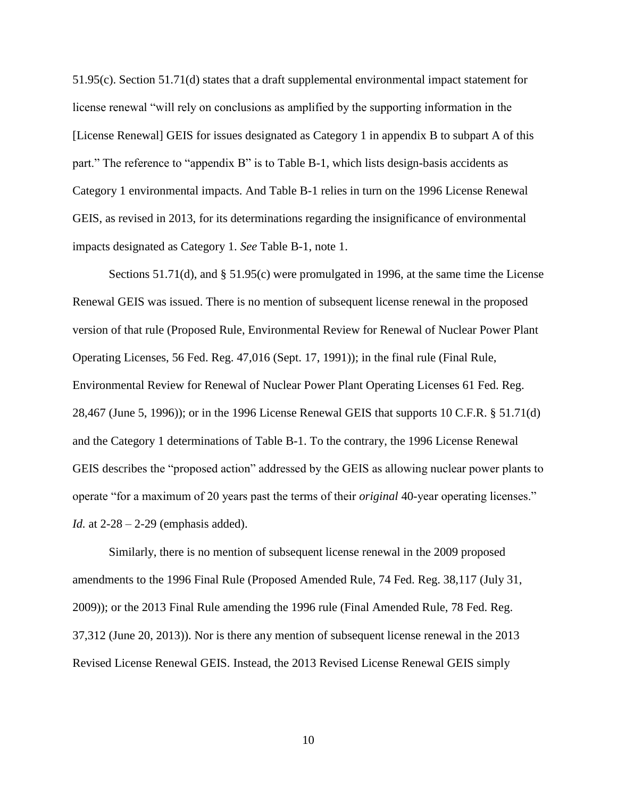51.95(c). Section 51.71(d) states that a draft supplemental environmental impact statement for license renewal "will rely on conclusions as amplified by the supporting information in the [License Renewal] GEIS for issues designated as Category 1 in appendix B to subpart A of this part." The reference to "appendix B" is to Table B-1, which lists design-basis accidents as Category 1 environmental impacts. And Table B-1 relies in turn on the 1996 License Renewal GEIS, as revised in 2013, for its determinations regarding the insignificance of environmental impacts designated as Category 1. *See* Table B-1, note 1.

Sections 51.71(d), and § 51.95(c) were promulgated in 1996, at the same time the License Renewal GEIS was issued. There is no mention of subsequent license renewal in the proposed version of that rule (Proposed Rule, Environmental Review for Renewal of Nuclear Power Plant Operating Licenses, 56 Fed. Reg. 47,016 (Sept. 17, 1991)); in the final rule (Final Rule, Environmental Review for Renewal of Nuclear Power Plant Operating Licenses 61 Fed. Reg. 28,467 (June 5, 1996)); or in the 1996 License Renewal GEIS that supports 10 C.F.R. § 51.71(d) and the Category 1 determinations of Table B-1. To the contrary, the 1996 License Renewal GEIS describes the "proposed action" addressed by the GEIS as allowing nuclear power plants to operate "for a maximum of 20 years past the terms of their *original* 40-year operating licenses." *Id.* at 2-28 – 2-29 (emphasis added).

Similarly, there is no mention of subsequent license renewal in the 2009 proposed amendments to the 1996 Final Rule (Proposed Amended Rule, 74 Fed. Reg. 38,117 (July 31, 2009)); or the 2013 Final Rule amending the 1996 rule (Final Amended Rule, 78 Fed. Reg. 37,312 (June 20, 2013)). Nor is there any mention of subsequent license renewal in the 2013 Revised License Renewal GEIS. Instead, the 2013 Revised License Renewal GEIS simply

10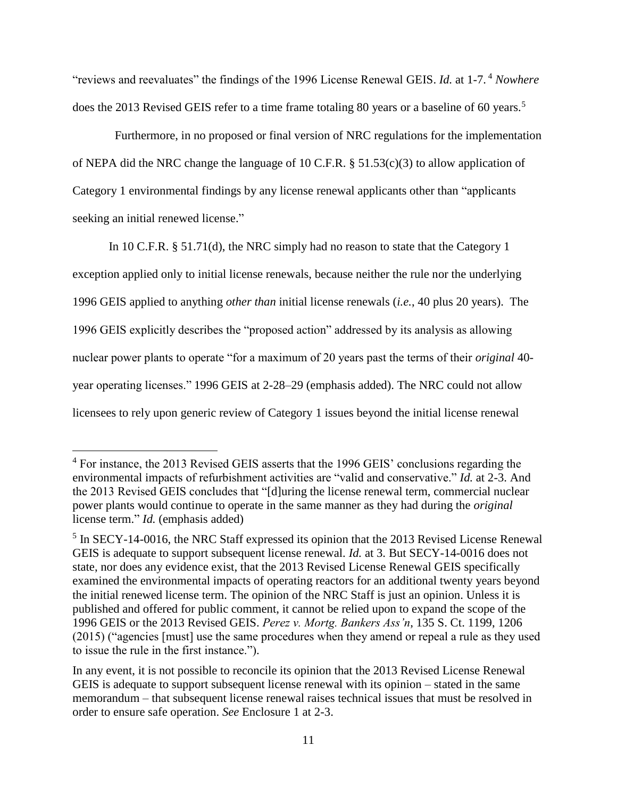"reviews and reevaluates" the findings of the 1996 License Renewal GEIS. *Id.* at 1-7. <sup>4</sup> *Nowhere*  does the 2013 Revised GEIS refer to a time frame totaling 80 years or a baseline of 60 years.<sup>5</sup>

Furthermore, in no proposed or final version of NRC regulations for the implementation of NEPA did the NRC change the language of 10 C.F.R. § 51.53(c)(3) to allow application of Category 1 environmental findings by any license renewal applicants other than "applicants seeking an initial renewed license."

In 10 C.F.R. § 51.71(d), the NRC simply had no reason to state that the Category 1 exception applied only to initial license renewals, because neither the rule nor the underlying 1996 GEIS applied to anything *other than* initial license renewals (*i.e.*, 40 plus 20 years). The 1996 GEIS explicitly describes the "proposed action" addressed by its analysis as allowing nuclear power plants to operate "for a maximum of 20 years past the terms of their *original* 40 year operating licenses." 1996 GEIS at 2-28–29 (emphasis added). The NRC could not allow licensees to rely upon generic review of Category 1 issues beyond the initial license renewal

 $\overline{a}$ 

<sup>&</sup>lt;sup>4</sup> For instance, the 2013 Revised GEIS asserts that the 1996 GEIS' conclusions regarding the environmental impacts of refurbishment activities are "valid and conservative." *Id.* at 2-3. And the 2013 Revised GEIS concludes that "[d]uring the license renewal term, commercial nuclear power plants would continue to operate in the same manner as they had during the *original*  license term." *Id.* (emphasis added)

<sup>&</sup>lt;sup>5</sup> In SECY-14-0016, the NRC Staff expressed its opinion that the 2013 Revised License Renewal GEIS is adequate to support subsequent license renewal. *Id.* at 3. But SECY-14-0016 does not state, nor does any evidence exist, that the 2013 Revised License Renewal GEIS specifically examined the environmental impacts of operating reactors for an additional twenty years beyond the initial renewed license term. The opinion of the NRC Staff is just an opinion. Unless it is published and offered for public comment, it cannot be relied upon to expand the scope of the 1996 GEIS or the 2013 Revised GEIS. *Perez v. Mortg. Bankers Ass'n*, 135 S. Ct. 1199, 1206 (2015) ("agencies [must] use the same procedures when they amend or repeal a rule as they used to issue the rule in the first instance.").

In any event, it is not possible to reconcile its opinion that the 2013 Revised License Renewal GEIS is adequate to support subsequent license renewal with its opinion – stated in the same memorandum – that subsequent license renewal raises technical issues that must be resolved in order to ensure safe operation. *See* Enclosure 1 at 2-3.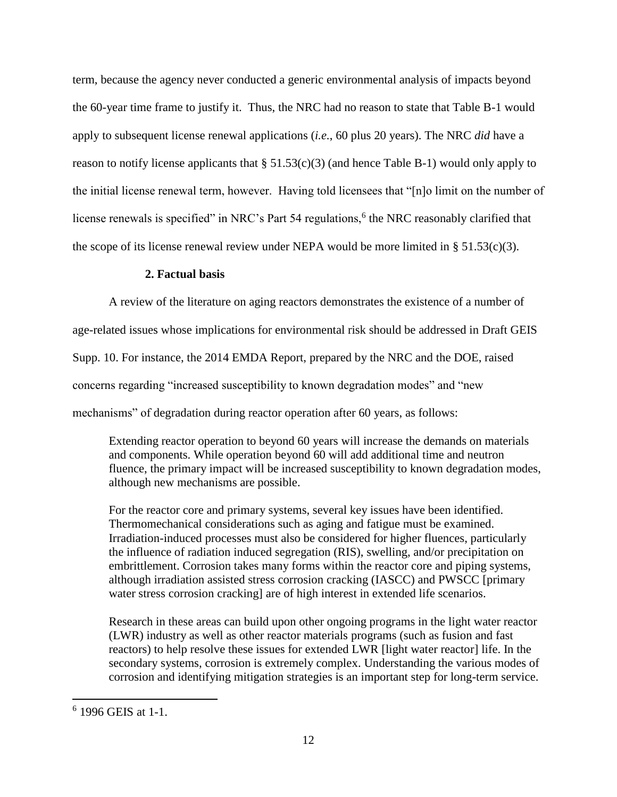term, because the agency never conducted a generic environmental analysis of impacts beyond the 60-year time frame to justify it. Thus, the NRC had no reason to state that Table B-1 would apply to subsequent license renewal applications (*i.e.*, 60 plus 20 years). The NRC *did* have a reason to notify license applicants that  $\S 51.53(c)(3)$  (and hence Table B-1) would only apply to the initial license renewal term, however. Having told licensees that "[n]o limit on the number of license renewals is specified" in NRC's Part 54 regulations,<sup>6</sup> the NRC reasonably clarified that the scope of its license renewal review under NEPA would be more limited in § 51.53(c)(3).

# **2. Factual basis**

A review of the literature on aging reactors demonstrates the existence of a number of

age-related issues whose implications for environmental risk should be addressed in Draft GEIS

Supp. 10. For instance, the 2014 EMDA Report, prepared by the NRC and the DOE, raised

concerns regarding "increased susceptibility to known degradation modes" and "new

mechanisms" of degradation during reactor operation after 60 years, as follows:

Extending reactor operation to beyond 60 years will increase the demands on materials and components. While operation beyond 60 will add additional time and neutron fluence, the primary impact will be increased susceptibility to known degradation modes, although new mechanisms are possible.

For the reactor core and primary systems, several key issues have been identified. Thermomechanical considerations such as aging and fatigue must be examined. Irradiation-induced processes must also be considered for higher fluences, particularly the influence of radiation induced segregation (RIS), swelling, and/or precipitation on embrittlement. Corrosion takes many forms within the reactor core and piping systems, although irradiation assisted stress corrosion cracking (IASCC) and PWSCC [primary water stress corrosion cracking] are of high interest in extended life scenarios.

Research in these areas can build upon other ongoing programs in the light water reactor (LWR) industry as well as other reactor materials programs (such as fusion and fast reactors) to help resolve these issues for extended LWR [light water reactor] life. In the secondary systems, corrosion is extremely complex. Understanding the various modes of corrosion and identifying mitigation strategies is an important step for long-term service.

 $\overline{a}$ 

<sup>6</sup> 1996 GEIS at 1-1.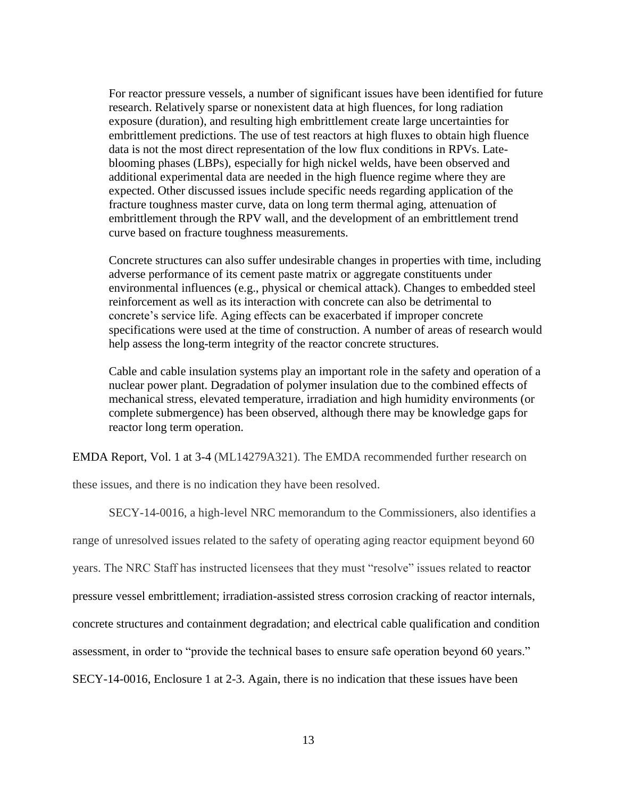For reactor pressure vessels, a number of significant issues have been identified for future research. Relatively sparse or nonexistent data at high fluences, for long radiation exposure (duration), and resulting high embrittlement create large uncertainties for embrittlement predictions. The use of test reactors at high fluxes to obtain high fluence data is not the most direct representation of the low flux conditions in RPVs. Lateblooming phases (LBPs), especially for high nickel welds, have been observed and additional experimental data are needed in the high fluence regime where they are expected. Other discussed issues include specific needs regarding application of the fracture toughness master curve, data on long term thermal aging, attenuation of embrittlement through the RPV wall, and the development of an embrittlement trend curve based on fracture toughness measurements.

Concrete structures can also suffer undesirable changes in properties with time, including adverse performance of its cement paste matrix or aggregate constituents under environmental influences (e.g., physical or chemical attack). Changes to embedded steel reinforcement as well as its interaction with concrete can also be detrimental to concrete's service life. Aging effects can be exacerbated if improper concrete specifications were used at the time of construction. A number of areas of research would help assess the long-term integrity of the reactor concrete structures.

Cable and cable insulation systems play an important role in the safety and operation of a nuclear power plant. Degradation of polymer insulation due to the combined effects of mechanical stress, elevated temperature, irradiation and high humidity environments (or complete submergence) has been observed, although there may be knowledge gaps for reactor long term operation.

EMDA Report, Vol. 1 at 3-4 (ML14279A321). The EMDA recommended further research on

these issues, and there is no indication they have been resolved.

SECY-14-0016, a high-level NRC memorandum to the Commissioners, also identifies a range of unresolved issues related to the safety of operating aging reactor equipment beyond 60 years. The NRC Staff has instructed licensees that they must "resolve" issues related to reactor pressure vessel embrittlement; irradiation-assisted stress corrosion cracking of reactor internals, concrete structures and containment degradation; and electrical cable qualification and condition assessment, in order to "provide the technical bases to ensure safe operation beyond 60 years." SECY-14-0016, Enclosure 1 at 2-3. Again, there is no indication that these issues have been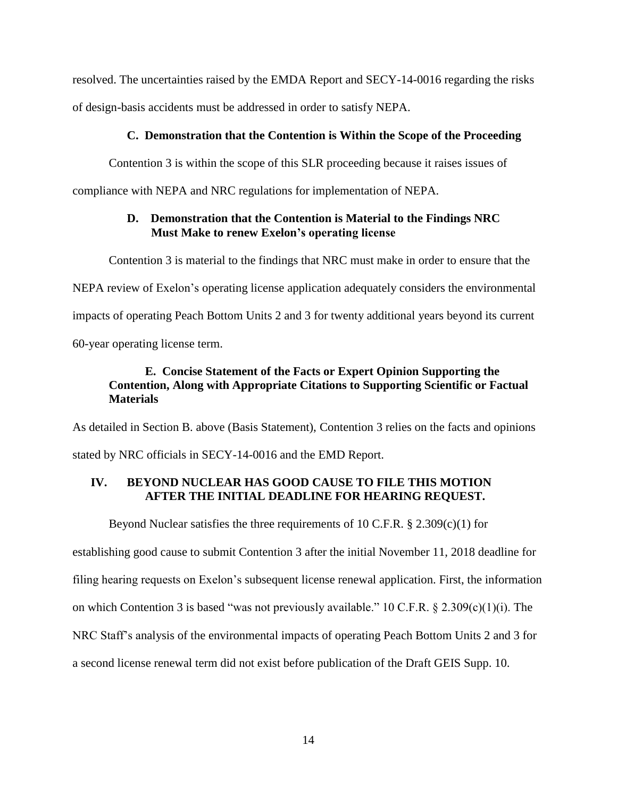resolved. The uncertainties raised by the EMDA Report and SECY-14-0016 regarding the risks of design-basis accidents must be addressed in order to satisfy NEPA.

#### **C. Demonstration that the Contention is Within the Scope of the Proceeding**

Contention 3 is within the scope of this SLR proceeding because it raises issues of

compliance with NEPA and NRC regulations for implementation of NEPA.

### **D. Demonstration that the Contention is Material to the Findings NRC Must Make to renew Exelon's operating license**

Contention 3 is material to the findings that NRC must make in order to ensure that the

NEPA review of Exelon's operating license application adequately considers the environmental

impacts of operating Peach Bottom Units 2 and 3 for twenty additional years beyond its current

60-year operating license term.

## **E. Concise Statement of the Facts or Expert Opinion Supporting the Contention, Along with Appropriate Citations to Supporting Scientific or Factual Materials**

As detailed in Section B. above (Basis Statement), Contention 3 relies on the facts and opinions stated by NRC officials in SECY-14-0016 and the EMD Report.

### **IV. BEYOND NUCLEAR HAS GOOD CAUSE TO FILE THIS MOTION AFTER THE INITIAL DEADLINE FOR HEARING REQUEST.**

Beyond Nuclear satisfies the three requirements of 10 C.F.R. § 2.309(c)(1) for

establishing good cause to submit Contention 3 after the initial November 11, 2018 deadline for filing hearing requests on Exelon's subsequent license renewal application. First, the information on which Contention 3 is based "was not previously available." 10 C.F.R.  $\S 2.309(c)(1)(i)$ . The NRC Staff's analysis of the environmental impacts of operating Peach Bottom Units 2 and 3 for a second license renewal term did not exist before publication of the Draft GEIS Supp. 10.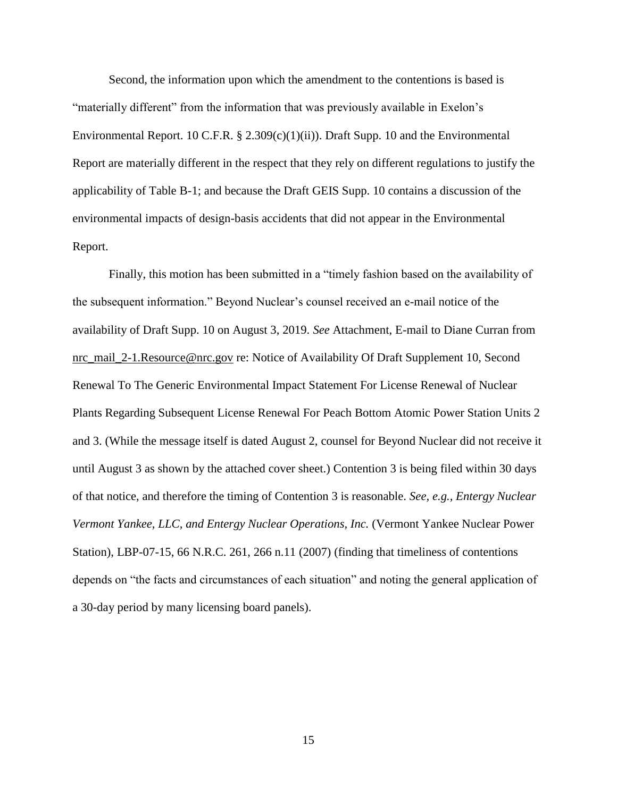Second, the information upon which the amendment to the contentions is based is "materially different" from the information that was previously available in Exelon's Environmental Report. 10 C.F.R. § 2.309(c)(1)(ii)). Draft Supp. 10 and the Environmental Report are materially different in the respect that they rely on different regulations to justify the applicability of Table B-1; and because the Draft GEIS Supp. 10 contains a discussion of the environmental impacts of design-basis accidents that did not appear in the Environmental Report.

Finally, this motion has been submitted in a "timely fashion based on the availability of the subsequent information." Beyond Nuclear's counsel received an e-mail notice of the availability of Draft Supp. 10 on August 3, 2019. *See* Attachment, E-mail to Diane Curran from [nrc\\_mail\\_2-1.Resource@nrc.gov](mailto:nrc_mail_2-1.Resource@nrc.gov) re: Notice of Availability Of Draft Supplement 10, Second Renewal To The Generic Environmental Impact Statement For License Renewal of Nuclear Plants Regarding Subsequent License Renewal For Peach Bottom Atomic Power Station Units 2 and 3. (While the message itself is dated August 2, counsel for Beyond Nuclear did not receive it until August 3 as shown by the attached cover sheet.) Contention 3 is being filed within 30 days of that notice, and therefore the timing of Contention 3 is reasonable. *See, e.g., Entergy Nuclear Vermont Yankee, LLC, and Entergy Nuclear Operations, Inc.* (Vermont Yankee Nuclear Power Station), LBP-07-15, 66 N.R.C. 261, 266 n.11 (2007) (finding that timeliness of contentions depends on "the facts and circumstances of each situation" and noting the general application of a 30-day period by many licensing board panels).